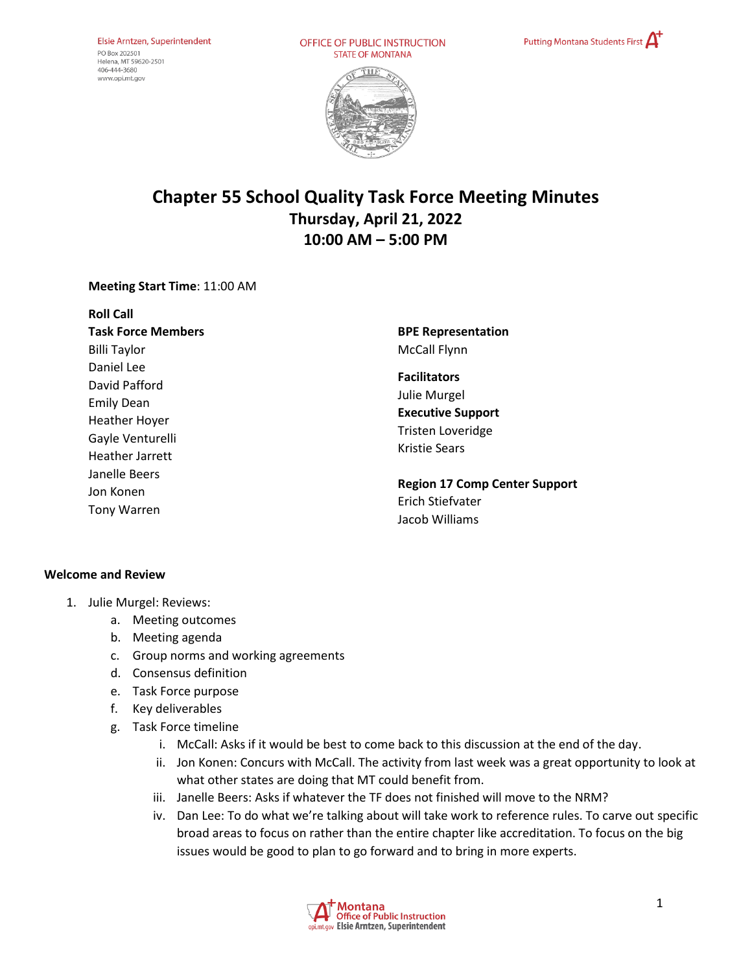OFFICE OF PUBLIC INSTRUCTION **STATE OF MONTANA** 





# **Chapter 55 School Quality Task Force Meeting Minutes Thursday, April 21, 2022 10:00 AM – 5:00 PM**

#### **Meeting Start Time**: 11:00 AM

| <b>Roll Call</b>                                                                                                       |                                                                                                              |
|------------------------------------------------------------------------------------------------------------------------|--------------------------------------------------------------------------------------------------------------|
| <b>Task Force Members</b>                                                                                              | <b>BPE Representation</b>                                                                                    |
| <b>Billi Taylor</b>                                                                                                    | McCall Flynn                                                                                                 |
| Daniel Lee<br>David Pafford<br><b>Emily Dean</b><br><b>Heather Hoyer</b><br>Gayle Venturelli<br><b>Heather Jarrett</b> | <b>Facilitators</b><br>Julie Murgel<br><b>Executive Support</b><br>Tristen Loveridge<br><b>Kristie Sears</b> |
| Janelle Beers<br>Jon Konen<br><b>Tony Warren</b>                                                                       | <b>Region 17 Comp Center Support</b><br>Erich Stiefvater<br>Jacob Williams                                   |

#### **Welcome and Review**

- 1. Julie Murgel: Reviews:
	- a. Meeting outcomes
	- b. Meeting agenda
	- c. Group norms and working agreements
	- d. Consensus definition
	- e. Task Force purpose
	- f. Key deliverables
	- g. Task Force timeline
		- i. McCall: Asks if it would be best to come back to this discussion at the end of the day.
		- ii. Jon Konen: Concurs with McCall. The activity from last week was a great opportunity to look at what other states are doing that MT could benefit from.
		- iii. Janelle Beers: Asks if whatever the TF does not finished will move to the NRM?
		- iv. Dan Lee: To do what we're talking about will take work to reference rules. To carve out specific broad areas to focus on rather than the entire chapter like accreditation. To focus on the big issues would be good to plan to go forward and to bring in more experts.

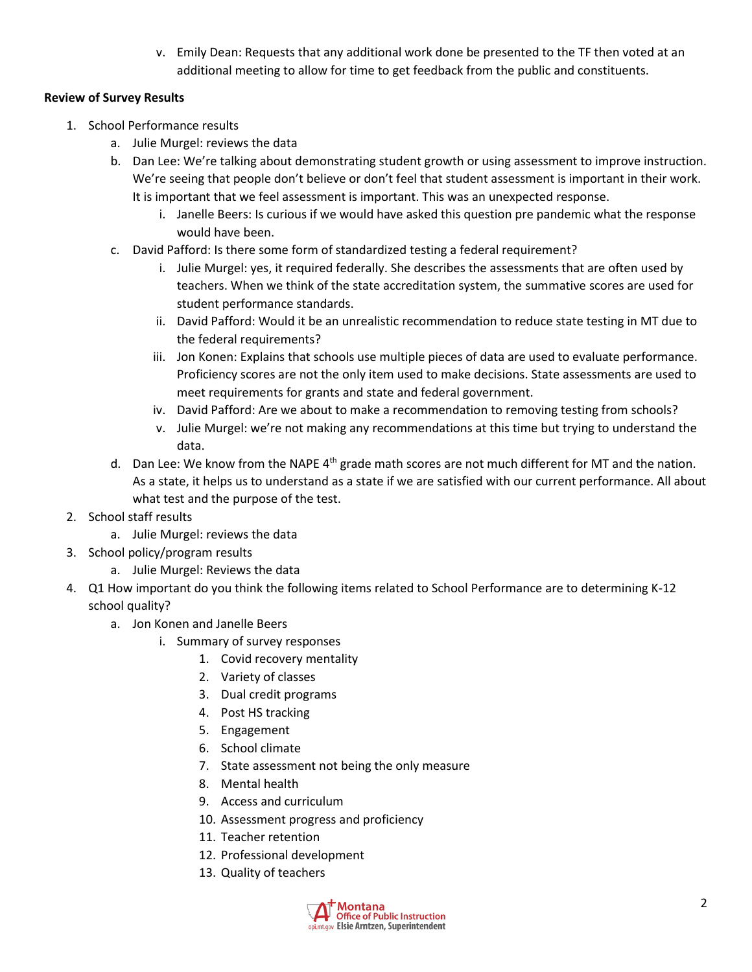v. Emily Dean: Requests that any additional work done be presented to the TF then voted at an additional meeting to allow for time to get feedback from the public and constituents.

## **Review of Survey Results**

- 1. School Performance results
	- a. Julie Murgel: reviews the data
	- b. Dan Lee: We're talking about demonstrating student growth or using assessment to improve instruction. We're seeing that people don't believe or don't feel that student assessment is important in their work. It is important that we feel assessment is important. This was an unexpected response.
		- i. Janelle Beers: Is curious if we would have asked this question pre pandemic what the response would have been.
	- c. David Pafford: Is there some form of standardized testing a federal requirement?
		- i. Julie Murgel: yes, it required federally. She describes the assessments that are often used by teachers. When we think of the state accreditation system, the summative scores are used for student performance standards.
		- ii. David Pafford: Would it be an unrealistic recommendation to reduce state testing in MT due to the federal requirements?
		- iii. Jon Konen: Explains that schools use multiple pieces of data are used to evaluate performance. Proficiency scores are not the only item used to make decisions. State assessments are used to meet requirements for grants and state and federal government.
		- iv. David Pafford: Are we about to make a recommendation to removing testing from schools?
		- v. Julie Murgel: we're not making any recommendations at this time but trying to understand the data.
	- d. Dan Lee: We know from the NAPE 4<sup>th</sup> grade math scores are not much different for MT and the nation. As a state, it helps us to understand as a state if we are satisfied with our current performance. All about what test and the purpose of the test.
- 2. School staff results
	- a. Julie Murgel: reviews the data
- 3. School policy/program results
	- a. Julie Murgel: Reviews the data
- 4. Q1 How important do you think the following items related to School Performance are to determining K-12 school quality?
	- a. Jon Konen and Janelle Beers
		- i. Summary of survey responses
			- 1. Covid recovery mentality
			- 2. Variety of classes
			- 3. Dual credit programs
			- 4. Post HS tracking
			- 5. Engagement
			- 6. School climate
			- 7. State assessment not being the only measure
			- 8. Mental health
			- 9. Access and curriculum
			- 10. Assessment progress and proficiency
			- 11. Teacher retention
			- 12. Professional development
			- 13. Quality of teachers

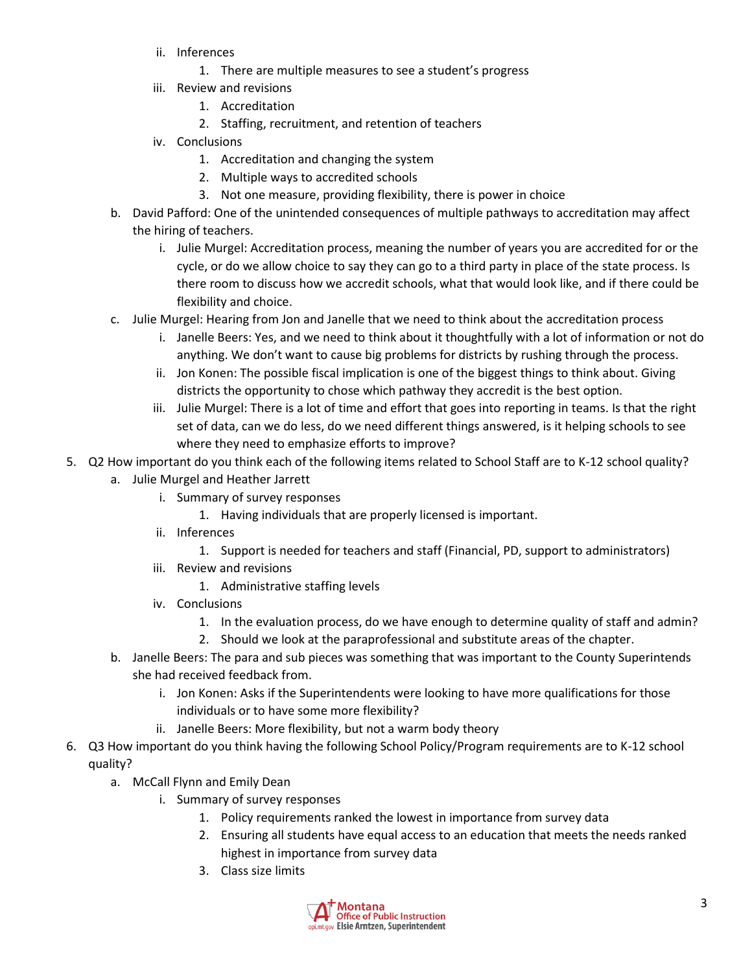- ii. Inferences
	- 1. There are multiple measures to see a student's progress
- iii. Review and revisions
	- 1. Accreditation
	- 2. Staffing, recruitment, and retention of teachers
- iv. Conclusions
	- 1. Accreditation and changing the system
	- 2. Multiple ways to accredited schools
	- 3. Not one measure, providing flexibility, there is power in choice
- b. David Pafford: One of the unintended consequences of multiple pathways to accreditation may affect the hiring of teachers.
	- i. Julie Murgel: Accreditation process, meaning the number of years you are accredited for or the cycle, or do we allow choice to say they can go to a third party in place of the state process. Is there room to discuss how we accredit schools, what that would look like, and if there could be flexibility and choice.
- c. Julie Murgel: Hearing from Jon and Janelle that we need to think about the accreditation process
	- i. Janelle Beers: Yes, and we need to think about it thoughtfully with a lot of information or not do anything. We don't want to cause big problems for districts by rushing through the process.
	- ii. Jon Konen: The possible fiscal implication is one of the biggest things to think about. Giving districts the opportunity to chose which pathway they accredit is the best option.
	- iii. Julie Murgel: There is a lot of time and effort that goes into reporting in teams. Is that the right set of data, can we do less, do we need different things answered, is it helping schools to see where they need to emphasize efforts to improve?
- 5. Q2 How important do you think each of the following items related to School Staff are to K-12 school quality?
	- a. Julie Murgel and Heather Jarrett
		- i. Summary of survey responses
			- 1. Having individuals that are properly licensed is important.
		- ii. Inferences
			- 1. Support is needed for teachers and staff (Financial, PD, support to administrators)
		- iii. Review and revisions
			- 1. Administrative staffing levels
		- iv. Conclusions
			- 1. In the evaluation process, do we have enough to determine quality of staff and admin?
			- 2. Should we look at the paraprofessional and substitute areas of the chapter.
	- b. Janelle Beers: The para and sub pieces was something that was important to the County Superintends she had received feedback from.
		- i. Jon Konen: Asks if the Superintendents were looking to have more qualifications for those individuals or to have some more flexibility?
		- ii. Janelle Beers: More flexibility, but not a warm body theory
- 6. Q3 How important do you think having the following School Policy/Program requirements are to K-12 school quality?
	- a. McCall Flynn and Emily Dean
		- i. Summary of survey responses
			- 1. Policy requirements ranked the lowest in importance from survey data
			- 2. Ensuring all students have equal access to an education that meets the needs ranked highest in importance from survey data
			- 3. Class size limits

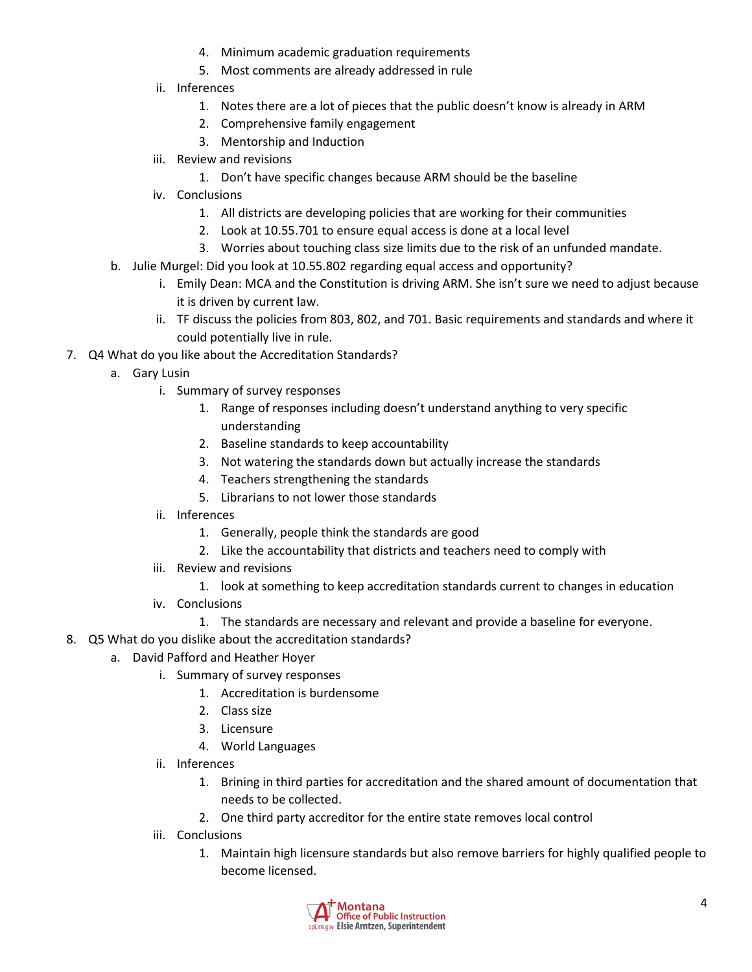- 4. Minimum academic graduation requirements
- 5. Most comments are already addressed in rule
- ii. Inferences
	- 1. Notes there are a lot of pieces that the public doesn't know is already in ARM
	- 2. Comprehensive family engagement
	- 3. Mentorship and Induction
- iii. Review and revisions
	- 1. Don't have specific changes because ARM should be the baseline
- iv. Conclusions
	- 1. All districts are developing policies that are working for their communities
	- 2. Look at 10.55.701 to ensure equal access is done at a local level
	- 3. Worries about touching class size limits due to the risk of an unfunded mandate.
- b. Julie Murgel: Did you look at 10.55.802 regarding equal access and opportunity?
	- i. Emily Dean: MCA and the Constitution is driving ARM. She isn't sure we need to adjust because it is driven by current law.
	- ii. TF discuss the policies from 803, 802, and 701. Basic requirements and standards and where it could potentially live in rule.
- 7. Q4 What do you like about the Accreditation Standards?
	- a. Gary Lusin
		- i. Summary of survey responses
			- 1. Range of responses including doesn't understand anything to very specific understanding
			- 2. Baseline standards to keep accountability
			- 3. Not watering the standards down but actually increase the standards
			- 4. Teachers strengthening the standards
			- 5. Librarians to not lower those standards
		- ii. Inferences
			- 1. Generally, people think the standards are good
			- 2. Like the accountability that districts and teachers need to comply with
		- iii. Review and revisions
			- 1. look at something to keep accreditation standards current to changes in education
		- iv. Conclusions
			- 1. The standards are necessary and relevant and provide a baseline for everyone.
- 8. Q5 What do you dislike about the accreditation standards?
	- a. David Pafford and Heather Hoyer
		- i. Summary of survey responses
			- 1. Accreditation is burdensome
			- 2. Class size
			- 3. Licensure
			- 4. World Languages
		- ii. Inferences
			- 1. Brining in third parties for accreditation and the shared amount of documentation that needs to be collected.
			- 2. One third party accreditor for the entire state removes local control
		- iii. Conclusions
			- 1. Maintain high licensure standards but also remove barriers for highly qualified people to become licensed.

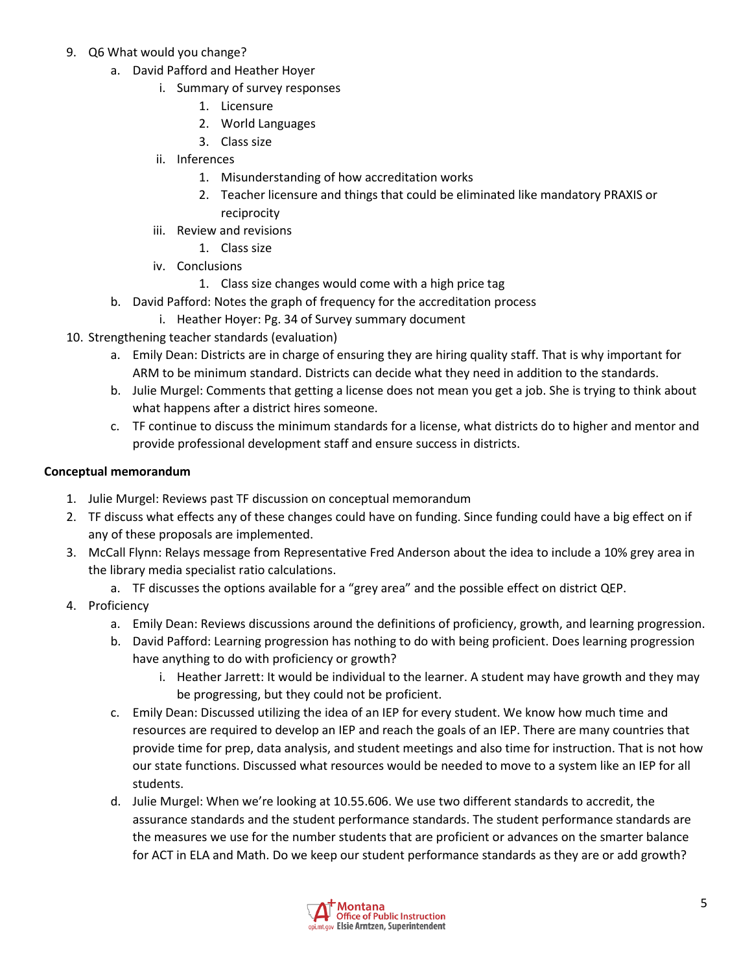- 9. Q6 What would you change?
	- a. David Pafford and Heather Hoyer
		- i. Summary of survey responses
			- 1. Licensure
			- 2. World Languages
			- 3. Class size
		- ii. Inferences
			- 1. Misunderstanding of how accreditation works
			- 2. Teacher licensure and things that could be eliminated like mandatory PRAXIS or reciprocity
		- iii. Review and revisions
			- 1. Class size
		- iv. Conclusions
			- 1. Class size changes would come with a high price tag
	- b. David Pafford: Notes the graph of frequency for the accreditation process
	- i. Heather Hoyer: Pg. 34 of Survey summary document
- 10. Strengthening teacher standards (evaluation)
	- a. Emily Dean: Districts are in charge of ensuring they are hiring quality staff. That is why important for ARM to be minimum standard. Districts can decide what they need in addition to the standards.
	- b. Julie Murgel: Comments that getting a license does not mean you get a job. She is trying to think about what happens after a district hires someone.
	- c. TF continue to discuss the minimum standards for a license, what districts do to higher and mentor and provide professional development staff and ensure success in districts.

#### **Conceptual memorandum**

- 1. Julie Murgel: Reviews past TF discussion on conceptual memorandum
- 2. TF discuss what effects any of these changes could have on funding. Since funding could have a big effect on if any of these proposals are implemented.
- 3. McCall Flynn: Relays message from Representative Fred Anderson about the idea to include a 10% grey area in the library media specialist ratio calculations.
	- a. TF discusses the options available for a "grey area" and the possible effect on district QEP.
- 4. Proficiency
	- a. Emily Dean: Reviews discussions around the definitions of proficiency, growth, and learning progression.
	- b. David Pafford: Learning progression has nothing to do with being proficient. Does learning progression have anything to do with proficiency or growth?
		- i. Heather Jarrett: It would be individual to the learner. A student may have growth and they may be progressing, but they could not be proficient.
	- c. Emily Dean: Discussed utilizing the idea of an IEP for every student. We know how much time and resources are required to develop an IEP and reach the goals of an IEP. There are many countries that provide time for prep, data analysis, and student meetings and also time for instruction. That is not how our state functions. Discussed what resources would be needed to move to a system like an IEP for all students.
	- d. Julie Murgel: When we're looking at 10.55.606. We use two different standards to accredit, the assurance standards and the student performance standards. The student performance standards are the measures we use for the number students that are proficient or advances on the smarter balance for ACT in ELA and Math. Do we keep our student performance standards as they are or add growth?

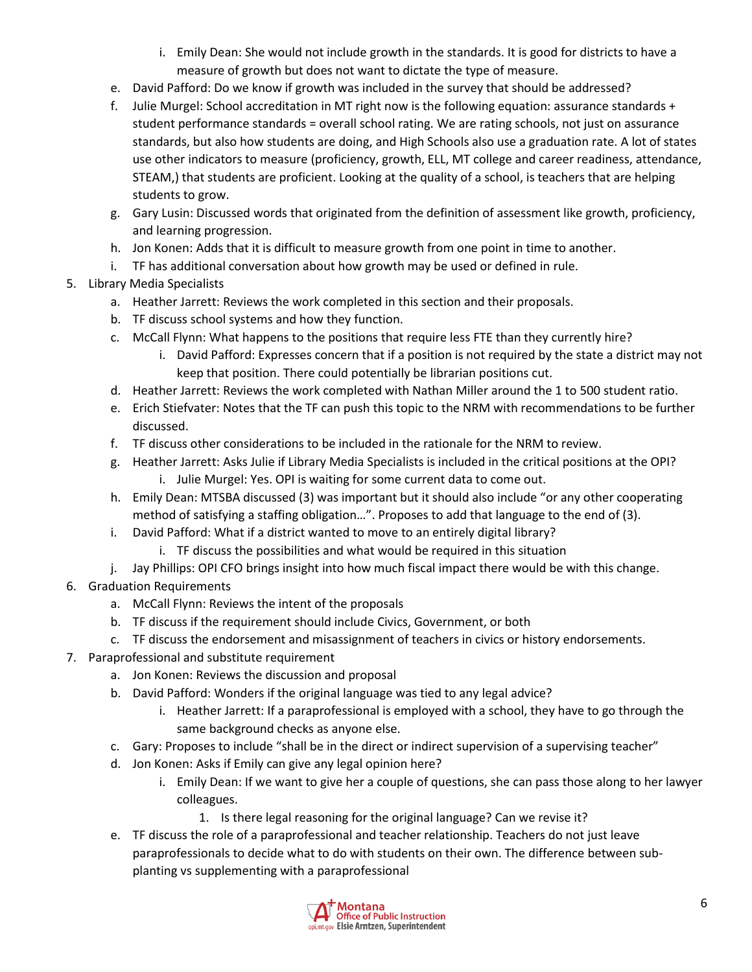- i. Emily Dean: She would not include growth in the standards. It is good for districts to have a measure of growth but does not want to dictate the type of measure.
- e. David Pafford: Do we know if growth was included in the survey that should be addressed?
- f. Julie Murgel: School accreditation in MT right now is the following equation: assurance standards + student performance standards = overall school rating. We are rating schools, not just on assurance standards, but also how students are doing, and High Schools also use a graduation rate. A lot of states use other indicators to measure (proficiency, growth, ELL, MT college and career readiness, attendance, STEAM,) that students are proficient. Looking at the quality of a school, is teachers that are helping students to grow.
- g. Gary Lusin: Discussed words that originated from the definition of assessment like growth, proficiency, and learning progression.
- h. Jon Konen: Adds that it is difficult to measure growth from one point in time to another.
- i. TF has additional conversation about how growth may be used or defined in rule.
- 5. Library Media Specialists
	- a. Heather Jarrett: Reviews the work completed in this section and their proposals.
	- b. TF discuss school systems and how they function.
	- c. McCall Flynn: What happens to the positions that require less FTE than they currently hire?
		- i. David Pafford: Expresses concern that if a position is not required by the state a district may not keep that position. There could potentially be librarian positions cut.
	- d. Heather Jarrett: Reviews the work completed with Nathan Miller around the 1 to 500 student ratio.
	- e. Erich Stiefvater: Notes that the TF can push this topic to the NRM with recommendations to be further discussed.
	- f. TF discuss other considerations to be included in the rationale for the NRM to review.
	- g. Heather Jarrett: Asks Julie if Library Media Specialists is included in the critical positions at the OPI? i. Julie Murgel: Yes. OPI is waiting for some current data to come out.
	- h. Emily Dean: MTSBA discussed (3) was important but it should also include "or any other cooperating method of satisfying a staffing obligation…". Proposes to add that language to the end of (3).
	- i. David Pafford: What if a district wanted to move to an entirely digital library?
		- i. TF discuss the possibilities and what would be required in this situation
	- j. Jay Phillips: OPI CFO brings insight into how much fiscal impact there would be with this change.
- 6. Graduation Requirements
	- a. McCall Flynn: Reviews the intent of the proposals
	- b. TF discuss if the requirement should include Civics, Government, or both
	- c. TF discuss the endorsement and misassignment of teachers in civics or history endorsements.
- 7. Paraprofessional and substitute requirement
	- a. Jon Konen: Reviews the discussion and proposal
	- b. David Pafford: Wonders if the original language was tied to any legal advice?
		- i. Heather Jarrett: If a paraprofessional is employed with a school, they have to go through the same background checks as anyone else.
	- c. Gary: Proposes to include "shall be in the direct or indirect supervision of a supervising teacher"
	- d. Jon Konen: Asks if Emily can give any legal opinion here?
		- i. Emily Dean: If we want to give her a couple of questions, she can pass those along to her lawyer colleagues.
			- 1. Is there legal reasoning for the original language? Can we revise it?
	- e. TF discuss the role of a paraprofessional and teacher relationship. Teachers do not just leave paraprofessionals to decide what to do with students on their own. The difference between subplanting vs supplementing with a paraprofessional

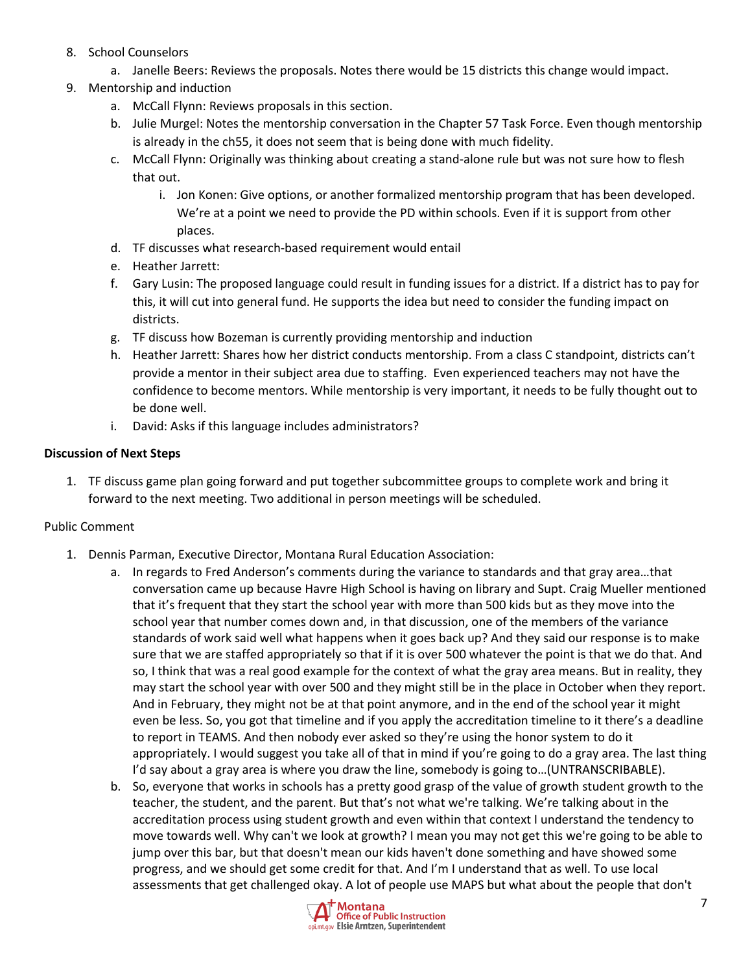- 8. School Counselors
	- a. Janelle Beers: Reviews the proposals. Notes there would be 15 districts this change would impact.
- 9. Mentorship and induction
	- a. McCall Flynn: Reviews proposals in this section.
	- b. Julie Murgel: Notes the mentorship conversation in the Chapter 57 Task Force. Even though mentorship is already in the ch55, it does not seem that is being done with much fidelity.
	- c. McCall Flynn: Originally was thinking about creating a stand-alone rule but was not sure how to flesh that out.
		- i. Jon Konen: Give options, or another formalized mentorship program that has been developed. We're at a point we need to provide the PD within schools. Even if it is support from other places.
	- d. TF discusses what research-based requirement would entail
	- e. Heather Jarrett:
	- f. Gary Lusin: The proposed language could result in funding issues for a district. If a district has to pay for this, it will cut into general fund. He supports the idea but need to consider the funding impact on districts.
	- g. TF discuss how Bozeman is currently providing mentorship and induction
	- h. Heather Jarrett: Shares how her district conducts mentorship. From a class C standpoint, districts can't provide a mentor in their subject area due to staffing. Even experienced teachers may not have the confidence to become mentors. While mentorship is very important, it needs to be fully thought out to be done well.
	- i. David: Asks if this language includes administrators?

# **Discussion of Next Steps**

1. TF discuss game plan going forward and put together subcommittee groups to complete work and bring it forward to the next meeting. Two additional in person meetings will be scheduled.

### Public Comment

- 1. Dennis Parman, Executive Director, Montana Rural Education Association:
	- a. In regards to Fred Anderson's comments during the variance to standards and that gray area…that conversation came up because Havre High School is having on library and Supt. Craig Mueller mentioned that it's frequent that they start the school year with more than 500 kids but as they move into the school year that number comes down and, in that discussion, one of the members of the variance standards of work said well what happens when it goes back up? And they said our response is to make sure that we are staffed appropriately so that if it is over 500 whatever the point is that we do that. And so, I think that was a real good example for the context of what the gray area means. But in reality, they may start the school year with over 500 and they might still be in the place in October when they report. And in February, they might not be at that point anymore, and in the end of the school year it might even be less. So, you got that timeline and if you apply the accreditation timeline to it there's a deadline to report in TEAMS. And then nobody ever asked so they're using the honor system to do it appropriately. I would suggest you take all of that in mind if you're going to do a gray area. The last thing I'd say about a gray area is where you draw the line, somebody is going to…(UNTRANSCRIBABLE).
	- b. So, everyone that works in schools has a pretty good grasp of the value of growth student growth to the teacher, the student, and the parent. But that's not what we're talking. We're talking about in the accreditation process using student growth and even within that context I understand the tendency to move towards well. Why can't we look at growth? I mean you may not get this we're going to be able to jump over this bar, but that doesn't mean our kids haven't done something and have showed some progress, and we should get some credit for that. And I'm I understand that as well. To use local assessments that get challenged okay. A lot of people use MAPS but what about the people that don't

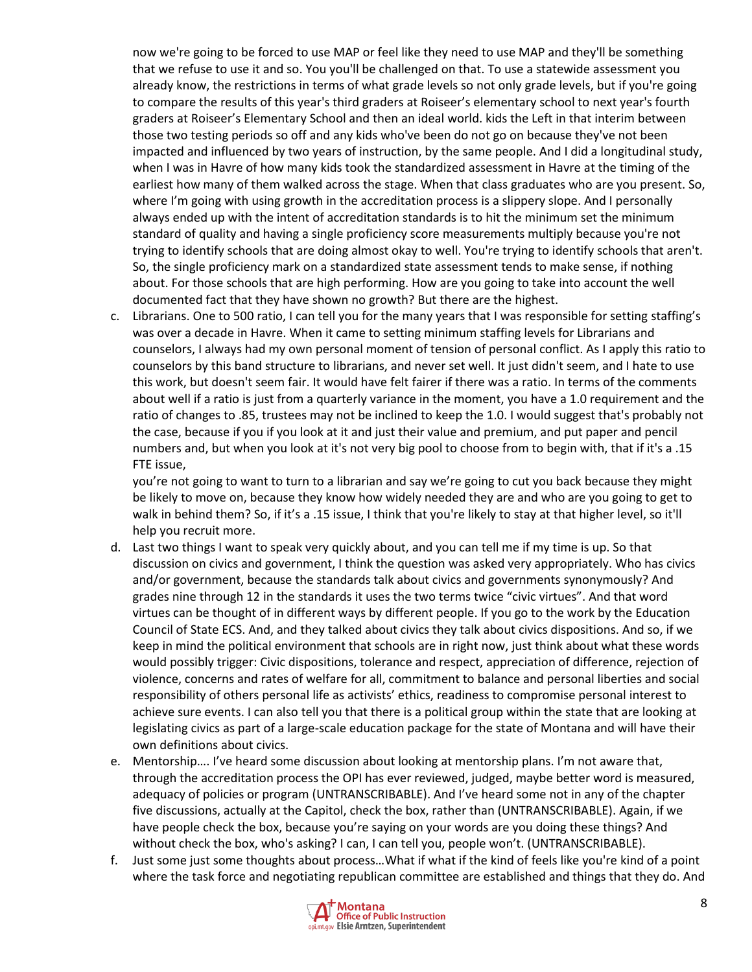now we're going to be forced to use MAP or feel like they need to use MAP and they'll be something that we refuse to use it and so. You you'll be challenged on that. To use a statewide assessment you already know, the restrictions in terms of what grade levels so not only grade levels, but if you're going to compare the results of this year's third graders at Roiseer's elementary school to next year's fourth graders at Roiseer's Elementary School and then an ideal world. kids the Left in that interim between those two testing periods so off and any kids who've been do not go on because they've not been impacted and influenced by two years of instruction, by the same people. And I did a longitudinal study, when I was in Havre of how many kids took the standardized assessment in Havre at the timing of the earliest how many of them walked across the stage. When that class graduates who are you present. So, where I'm going with using growth in the accreditation process is a slippery slope. And I personally always ended up with the intent of accreditation standards is to hit the minimum set the minimum standard of quality and having a single proficiency score measurements multiply because you're not trying to identify schools that are doing almost okay to well. You're trying to identify schools that aren't. So, the single proficiency mark on a standardized state assessment tends to make sense, if nothing about. For those schools that are high performing. How are you going to take into account the well documented fact that they have shown no growth? But there are the highest.

c. Librarians. One to 500 ratio, I can tell you for the many years that I was responsible for setting staffing's was over a decade in Havre. When it came to setting minimum staffing levels for Librarians and counselors, I always had my own personal moment of tension of personal conflict. As I apply this ratio to counselors by this band structure to librarians, and never set well. It just didn't seem, and I hate to use this work, but doesn't seem fair. It would have felt fairer if there was a ratio. In terms of the comments about well if a ratio is just from a quarterly variance in the moment, you have a 1.0 requirement and the ratio of changes to .85, trustees may not be inclined to keep the 1.0. I would suggest that's probably not the case, because if you if you look at it and just their value and premium, and put paper and pencil numbers and, but when you look at it's not very big pool to choose from to begin with, that if it's a .15 FTE issue,

you're not going to want to turn to a librarian and say we're going to cut you back because they might be likely to move on, because they know how widely needed they are and who are you going to get to walk in behind them? So, if it's a .15 issue, I think that you're likely to stay at that higher level, so it'll help you recruit more.

- d. Last two things I want to speak very quickly about, and you can tell me if my time is up. So that discussion on civics and government, I think the question was asked very appropriately. Who has civics and/or government, because the standards talk about civics and governments synonymously? And grades nine through 12 in the standards it uses the two terms twice "civic virtues". And that word virtues can be thought of in different ways by different people. If you go to the work by the Education Council of State ECS. And, and they talked about civics they talk about civics dispositions. And so, if we keep in mind the political environment that schools are in right now, just think about what these words would possibly trigger: Civic dispositions, tolerance and respect, appreciation of difference, rejection of violence, concerns and rates of welfare for all, commitment to balance and personal liberties and social responsibility of others personal life as activists' ethics, readiness to compromise personal interest to achieve sure events. I can also tell you that there is a political group within the state that are looking at legislating civics as part of a large-scale education package for the state of Montana and will have their own definitions about civics.
- e. Mentorship…. I've heard some discussion about looking at mentorship plans. I'm not aware that, through the accreditation process the OPI has ever reviewed, judged, maybe better word is measured, adequacy of policies or program (UNTRANSCRIBABLE). And I've heard some not in any of the chapter five discussions, actually at the Capitol, check the box, rather than (UNTRANSCRIBABLE). Again, if we have people check the box, because you're saying on your words are you doing these things? And without check the box, who's asking? I can, I can tell you, people won't. (UNTRANSCRIBABLE).
- f. Just some just some thoughts about process…What if what if the kind of feels like you're kind of a point where the task force and negotiating republican committee are established and things that they do. And